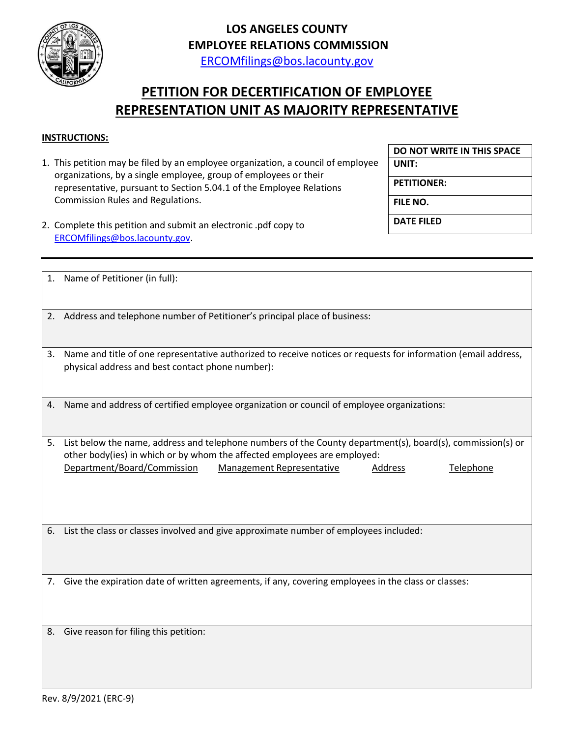

## **LOS ANGELES COUNTY EMPLOYEE RELATIONS COMMISSION**

[ERCOMfilings@bos.lacounty.gov](mailto:ERCOMfilings@bos.lacounty.gov)

## **PETITION FOR DECERTIFICATION OF EMPLOYEE REPRESENTATION UNIT AS MAJORITY REPRESENTATIVE**

## **INSTRUCTIONS:**

1. This petition may be filed by an employee organization, a council of employee organizations, by a single employee, group of employees or their representative, pursuant to Section 5.04.1 of the Employee Relations Commission Rules and Regulations.

**DO NOT WRITE IN THIS SPACE**

**UNIT:**

**PETITIONER:**

**FILE NO.**

**DATE FILED**

2. Complete this petition and submit an electronic .pdf copy to [ERCOMfilings@bos.lacounty.gov.](mailto:ERCOMfilings@bos.lacounty.gov)

|    | 1. Name of Petitioner (in full):                                                                                                                                                                                                                                           |
|----|----------------------------------------------------------------------------------------------------------------------------------------------------------------------------------------------------------------------------------------------------------------------------|
|    | 2. Address and telephone number of Petitioner's principal place of business:                                                                                                                                                                                               |
| 3. | Name and title of one representative authorized to receive notices or requests for information (email address,<br>physical address and best contact phone number):                                                                                                         |
| 4. | Name and address of certified employee organization or council of employee organizations:                                                                                                                                                                                  |
| 5. | List below the name, address and telephone numbers of the County department(s), board(s), commission(s) or<br>other body(ies) in which or by whom the affected employees are employed:<br>Department/Board/Commission<br>Management Representative<br>Address<br>Telephone |
| 6. | List the class or classes involved and give approximate number of employees included:                                                                                                                                                                                      |
| 7. | Give the expiration date of written agreements, if any, covering employees in the class or classes:                                                                                                                                                                        |
| 8. | Give reason for filing this petition:                                                                                                                                                                                                                                      |